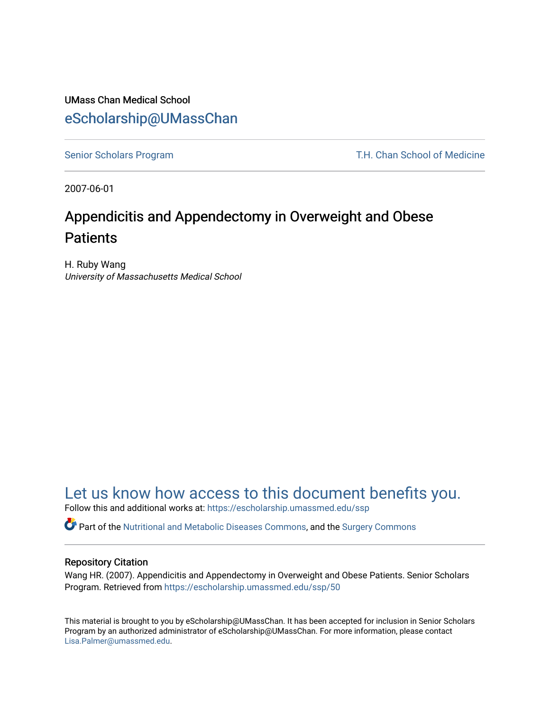## UMass Chan Medical School [eScholarship@UMassChan](https://escholarship.umassmed.edu/)

[Senior Scholars Program](https://escholarship.umassmed.edu/ssp) T.H. Chan School of Medicine

2007-06-01

# Appendicitis and Appendectomy in Overweight and Obese **Patients**

H. Ruby Wang University of Massachusetts Medical School

## [Let us know how access to this document benefits you.](https://arcsapps.umassmed.edu/redcap/surveys/?s=XWRHNF9EJE)

Follow this and additional works at: [https://escholarship.umassmed.edu/ssp](https://escholarship.umassmed.edu/ssp?utm_source=escholarship.umassmed.edu%2Fssp%2F50&utm_medium=PDF&utm_campaign=PDFCoverPages) 

Part of the [Nutritional and Metabolic Diseases Commons,](http://network.bepress.com/hgg/discipline/1003?utm_source=escholarship.umassmed.edu%2Fssp%2F50&utm_medium=PDF&utm_campaign=PDFCoverPages) and the [Surgery Commons](http://network.bepress.com/hgg/discipline/706?utm_source=escholarship.umassmed.edu%2Fssp%2F50&utm_medium=PDF&utm_campaign=PDFCoverPages)

#### Repository Citation

Wang HR. (2007). Appendicitis and Appendectomy in Overweight and Obese Patients. Senior Scholars Program. Retrieved from [https://escholarship.umassmed.edu/ssp/50](https://escholarship.umassmed.edu/ssp/50?utm_source=escholarship.umassmed.edu%2Fssp%2F50&utm_medium=PDF&utm_campaign=PDFCoverPages) 

This material is brought to you by eScholarship@UMassChan. It has been accepted for inclusion in Senior Scholars Program by an authorized administrator of eScholarship@UMassChan. For more information, please contact [Lisa.Palmer@umassmed.edu](mailto:Lisa.Palmer@umassmed.edu).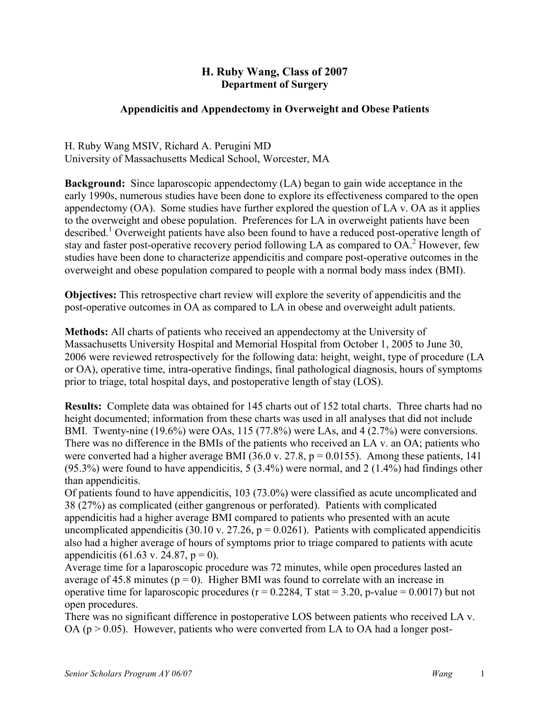### **H. Ruby Wang, Class of 2007 Department of Surgery**

### **Appendicitis and Appendectomy in Overweight and Obese Patients**

H. Ruby Wang MSIV, Richard A. Perugini MD University of Massachusetts Medical School, Worcester, MA

**Background:** Since laparoscopic appendectomy (LA) began to gain wide acceptance in the early 1990s, numerous studies have been done to explore its effectiveness compared to the open appendectomy (OA). Some studies have further explored the question of LA v. OA as it applies to the overweight and obese population. Preferences for LA in overweight patients have been described.<sup>1</sup> Overweight patients have also been found to have a reduced post-operative length of stay and faster post-operative recovery period following LA as compared to  $OA<sup>2</sup>$  However, few studies have been done to characterize appendicitis and compare post-operative outcomes in the overweight and obese population compared to people with a normal body mass index (BMI).

**Objectives:** This retrospective chart review will explore the severity of appendicitis and the post-operative outcomes in OA as compared to LA in obese and overweight adult patients.

**Methods:** All charts of patients who received an appendectomy at the University of Massachusetts University Hospital and Memorial Hospital from October 1, 2005 to June 30, 2006 were reviewed retrospectively for the following data: height, weight, type of procedure (LA or OA), operative time, intra-operative findings, final pathological diagnosis, hours of symptoms prior to triage, total hospital days, and postoperative length of stay (LOS).

**Results:** Complete data was obtained for 145 charts out of 152 total charts. Three charts had no height documented; information from these charts was used in all analyses that did not include BMI. Twenty-nine (19.6%) were OAs, 115 (77.8%) were LAs, and 4 (2.7%) were conversions. There was no difference in the BMIs of the patients who received an LA v. an OA; patients who were converted had a higher average BMI (36.0 v. 27.8,  $p = 0.0155$ ). Among these patients, 141 (95.3%) were found to have appendicitis, 5 (3.4%) were normal, and 2 (1.4%) had findings other than appendicitis.

Of patients found to have appendicitis, 103 (73.0%) were classified as acute uncomplicated and 38 (27%) as complicated (either gangrenous or perforated). Patients with complicated appendicitis had a higher average BMI compared to patients who presented with an acute uncomplicated appendicitis (30.10 v. 27.26,  $p = 0.0261$ ). Patients with complicated appendicitis also had a higher average of hours of symptoms prior to triage compared to patients with acute appendicitis (61.63 v. 24.87,  $p = 0$ ).

Average time for a laparoscopic procedure was 72 minutes, while open procedures lasted an average of 45.8 minutes ( $p = 0$ ). Higher BMI was found to correlate with an increase in operative time for laparoscopic procedures ( $r = 0.2284$ , T stat = 3.20, p-value = 0.0017) but not open procedures.

There was no significant difference in postoperative LOS between patients who received LA v. OA ( $p > 0.05$ ). However, patients who were converted from LA to OA had a longer post